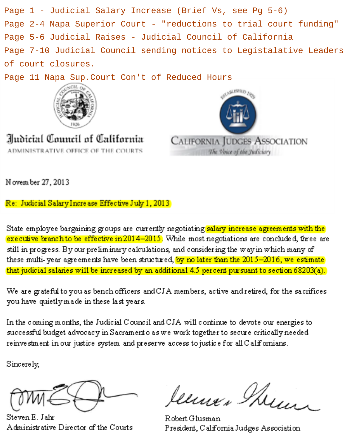Page 1 - Judicial Salary Increase (Brief Vs, see Pg 5-6) Page 2-4 Napa Superior Court - "reductions to trial court funding" Page 5-6 Judicial Raises - Judicial Council of California Page 7-10 Judicial Council sending notices to Legistalative Leaders of court closures.

Page 11 Napa Sup. Court Con't of Reduced Hours



Iludicial Council of California ADMINISTRATIVE OFFICE OF THE COURTS



N ovem ber 27, 2013

Re: Judicial Salary Increase Effective July 1, 2013

State employee bargaining groups are currently negotiating salary increase agreements with the executive branch to be effective in 2014-2015. While most negotiations are concluded, three are still in progress. By our preliminary calculations, and considering the way in which many of these multi-year agreements have been structured, by no later than the 2015-2016, we estimate that judicial salaries will be increased by an additional 4.5 percent pursuant to section 68203(a).

We are grateful to you as bench officers and CJA members, active and retired, for the sacrifices you have quietly made in these last years.

In the coming months, the Judicial Council and CJA will continue to devote our energies to successful budget advocacy in Sacramento as we work together to secure critically needed reinvestment in our justice system and preserve access to justice for all Californians.

Sincerely,

Steven E. Jahr Administrative Director of the Courts

leens Them

Robert Glusman President, California Judges Association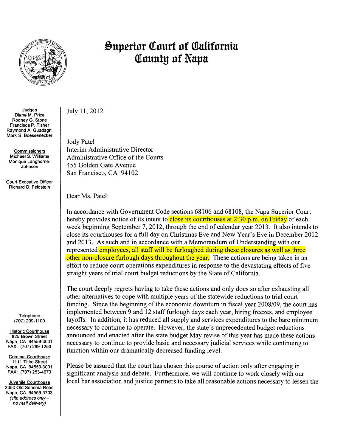

#### **Judges** Diane M. Price Rodney G. Stone Francisca P. Tisher Raymond A. Guadagni Mark S. Boessenecker

Commissioners Michael S. Williams Monique Langhorne-Johnson

Court Executive Officer Richard D. Feldstein

> **Telephone** (707) 299-11 00

Historic Courthouse 825 Brown Street Napa, CA 94559-3031 FAX: (707) 299-1250

Criminal Courthouse 1111 Third Street Napa, CA 94559-3001 FAX: (707) 253-4673

Juvenile Courthouse 2350 Old Sonoma Road Napa, CA 94559-3703 (site address onlyno mail delivery)

July 11, 2012

Jody Patel Interim Administrative Director Administrative Office of the Courts 455 Golden Gate Avenue San Francisco, CA 94102

Dear Ms. Patel:

In accordance with Government Code sections 68106 and 68108, the Napa Superior Court hereby provides notice of its intent to close its courthouses at  $2:30$  p.m. on Friday of each week beginning September 7, 2012, through the end of calendar year 2013. It also intends to close its courthouses for a full day on Christmas Eve and New Year's Eve in December 2012 and 2013. As such and in accordance with a Memorandum of Understanding with our represented employees, all staff will be furloughed during these closures as well as three other non-closure furlough days throughout the year. These actions are being taken in an effort to reduce court operations expenditures in response to the devastating effects of five straight years of trial court budget reductions by the State of California.

The court deeply regrets having to take these actions and only does so after exhausting all other alternatives to cope with multiple years of the statewide reductions to trial court funding. Since the beginning of the economic downturn in fiscal year 2008/09, the court has implemented between 9 and 12 staff furlough days each year, hiring freezes, and employee layoffs. In addition, it has reduced all supply and services expenditures to the bare minimum necessary to continue to operate. However, the state's unprecedented budget reductions announced and enacted after the state budget May revise of this year has made these actions necessary to continue to provide basic and necessary judicial services while continuing to function within our dramatically decreased funding level.

Please be assured that the court has chosen this course of action only after engaging in significant analysis and debate. Furthermore, we will continue to work closely with our local bar association and justice partners to take all reasonable actions necessary to lessen the

## **Superior Court of California Q!nunty nf Nnpn**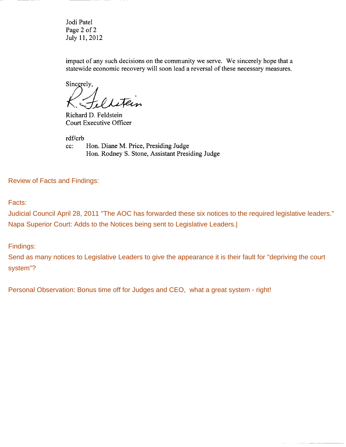Jodi Patel Page 2 of 2 July 11, 2012

impact of any such decisions on the community we serve. We sincerely hope that a statewide economic recovery will soon lead a reversal of these necessary measures.

Sincerely,

Richard D. Feldstein Court Executive Officer

rdf/crb cc: Hon. Diane M. Price, Presiding Judge Hon. Rodney S. Stone, Assistant Presiding Judge

Review of Facts and Findings:

Facts:

Judicial Council April 28, 2011 "The AOC has forwarded these six notices to the required legislative leaders." Napa Superior Court: Adds to the Notices being sent to Legislative Leaders.|

Findings:

Send as many notices to Legislative Leaders to give the appearance it is their fault for "depriving the court system"?

Personal Observation: Bonus time off for Judges and CEO, what a great system - right!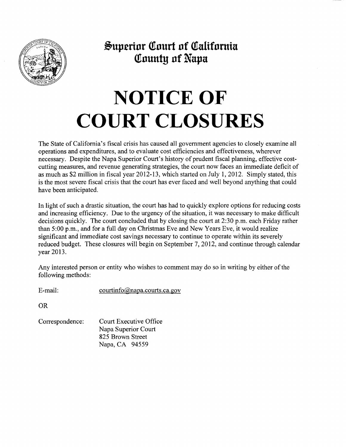

**.&uprrinr atnurt nf Qtalifnmia Qtnuuty nf Napa** 

# **NOTICE OF COURT CLOSURES**

The State of California's fiscal crisis has caused all government agencies to closely examine all operations and expenditures, and to evaluate cost efficiencies and effectiveness, wherever necessary. Despite the Napa Superior Court's history of prudent fiscal planning, effective costcutting measures, and revenue generating strategies, the court now faces an immediate deficit of as much as \$2 million in fiscal year 2012-13, which started on July 1, 2012. Simply stated, this is the most severe fiscal crisis that the court has ever faced and well beyond anything that could have been anticipated.

In light of such a drastic situation, the court has had to quickly explore options for reducing costs and increasing efficiency. Due to the urgency of the situation, it was necessary to make difficult decisions quickly. The court concluded that by closing the court at 2:30 p.m. each Friday rather than  $5:00$  p.m., and for a full day on Christmas Eve and New Years Eve, it would realize significant and immediate cost savings necessary to continue to operate within its severely reduced budget. These closures will begin on September 7, 2012, and continue through calendar year 2013.

Any interested person or entity who wishes to comment may do so in writing by either of the following methods:

E-mail: courtinfo@napa.courts.ca.gov

OR

Correspondence: Court Executive Office Napa Superior Court 825 Brown Street Napa, CA 94559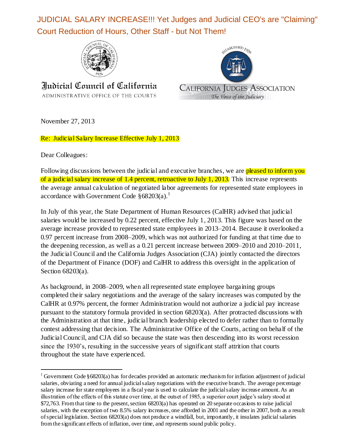JUDICIAL SALARY INCREASE!!! Yet Judges and Judicial CEO's are "Claiming" Court Reduction of Hours, Other Staff - but Not Them!



Indicial Council of California ADMINISTRATIVE OFFICE OF THE COURTS



November 27, 2013

Re: Judicial Salary Increase Effective July 1, 2013

Dear Colleagues:

l

Following discussions between the judicial and executive branches, we are pleased to inform you of a judicial salary increase of 1.4 percent, retroactive to July 1, 2013. This increase represents the average annual calculation of negotiated labor agreements for represented state employees in accordance with Government Code  $§ 68203(a).$ <sup>1</sup>

In July of this year, the State Department of Human Resources (CalHR) advised that judicial salaries would be increased by 0.22 percent, effective July 1, 2013. This figure was based on the average increase provided to represented state employees in 2013–2014. Because it overlooked a 0.97 percent increase from 2008–2009, which was not authorized for funding at that time due to the deepening recession, as well as a 0.21 percent increase between 2009–2010 and 2010–2011, the Judicial Council and the California Judges Association (CJA) jointly contacted the directors of the Department of Finance (DOF) and CalHR to address this oversight in the application of Section 68203(a).

As background, in 2008–2009, when all represented state employee bargaining groups completed their salary negotiations and the average of the salary increases was computed by the CalHR at 0.97% percent, the former Administration would not authorize a judicial pay increase pursuant to the statutory formula provided in section 68203(a). After protracted discussions with the Administration at that time, judicial branch leadership elected to defer rather than to formally contest addressing that decision. The Administrative Office of the Courts, acting on behalf of the Judicial Council, and CJA did so because the state was then descending into its worst recession since the 1930's, resulting in the successive years of significant staff attrition that courts throughout the state have experienced.

<sup>&</sup>lt;sup>1</sup> Government Code §68203(a) has for decades provided an automatic mechanism for inflation adjustment of judicial salaries, obviating a need for annual judicial salary negotiations with the executive branch. The average percentage salary increase for state employees in a fiscal year is used to calculate the judicial salary increase amount. As an illustration of the effects of this statute over time, at the outset of 1985, a superior court judge's salary stood at \$72,763. From that time to the present, section 68203(a) has operated on 20 separate occasions to raise judicial salaries, with the exception of two 8.5% salary increases, one afforded in 2001 and the other in 2007, both as a result of special legislation. Section 68203(a) does not produce a windfall, but, importantly, it insulates judicial salaries from the significant effects of inflation, over time, and represents sound public policy.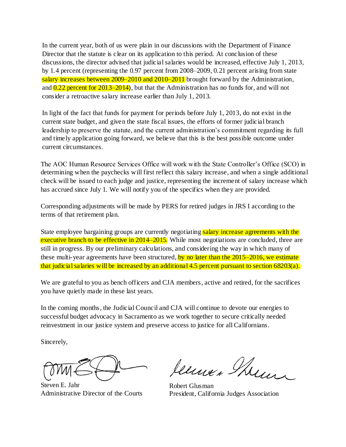In the current year, both of us were plain in our discussions with the Department of Finance Director that the statute is clear on its application to this period. At conclusion of these discussions, the director advised that judicial salaries would be increased, effective July 1, 2013, by 1.4 percent (representing the 0.97 percent from 2008–2009, 0.21 percent arising from state salary increases between 2009–2010 and 2010–2011 brought forward by the Administration, and  $0.22$  percent for  $2013-2014$ ), but that the Administration has no funds for, and will not consider a retroactive salary increase earlier than July 1, 2013.

In light of the fact that funds for payment for periods before July 1, 2013, do not exist in the current state budget, and given the state fiscal issues, the efforts of former judicial branch leadership to preserve the statute, and the current administration's commitment regarding its full and timely application going forward, we believe that this is the best possible outcome under current circumstances.

The AOC Human Resource Services Office will work with the State Controller's Office (SCO) in determining when the paychecks will first reflect this salary increase, and when a single additional check will be issued to each judge and justice, representing the increment of salary increase which has accrued since July 1. We will notify you of the specifics when they are provided.

Corresponding adjustments will be made by PERS for retired judges in JRS I according to the terms of that retirement plan.

State employee bargaining groups are currently negotiating salary increase agreements with the executive branch to be effective in 2014–2015. While most negotiations are concluded, three are still in progress. By our preliminary calculations, and considering the way in which many of these multi-year agreements have been structured, by no later than the  $2015-2016$ , we estimate that judicial salaries will be increased by an additional 4.5 percent pursuant to section 68203(a).

We are grateful to you as bench officers and CJA members, active and retired, for the sacrifices you have quietly made in these last years.

In the coming months, the Judicial Council and CJA will continue to devote our energies to successful budget advocacy in Sacramento as we work together to secure critically needed reinvestment in our justice system and preserve access to justice for all Californians.

Sincerely,

Steven E. Jahr Administrative Director of the Courts

Jenne, Min

Robert Glusman President, California Judges Association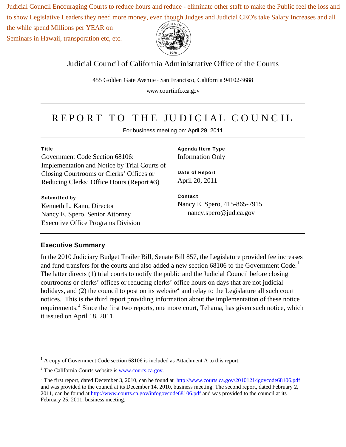Judicial Council Encouraging Courts to reduce hours and reduce - eliminate other staff to make the Public feel the loss and to show Legislative Leaders they need more money, even though Judges and Judicial CEO's take Salary Increases and all

the while spend Millions per YEAR on

Seminars in Hawaii, transporation etc, etc.



#### Judicial Council of California Administrative Office of the Courts

455 Golden Gate Avenue . San Francisco, California 94102-3688

www.courtinfo.ca.gov

## REPO RT TO THE JU DIC IAL C O U NC IL

For business meeting on: April 29, 2011

Government Code Section 68106: Implementation and Notice by Trial Courts of Closing Courtrooms or Clerks' Offices or Reducing Clerks' Office Hours (Report #3)

#### **Submitted by**

Kenneth L. Kann, Director Nancy E. Spero, Senior Attorney Executive Office Programs Division **Agenda Item Type**  Information Only

**Date of Report**  April 20, 2011

**Contact**  Nancy E. Spero, 415-865-7915 nancy.spero@jud.ca.gov

#### **Executive Summary**

In the 2010 Judiciary Budget Trailer Bill, Senate Bill 857, the Legislature provided fee increases and fund transfers for the courts and also added a new section  $68106$  to the Government Code.<sup>1</sup> The latter directs (1) trial courts to notify the public and the Judicial Council before closing courtrooms or clerks' offices or reducing clerks' office hours on days that are not judicial holidays, and (2) the council to post on its website<sup>2</sup> and relay to the Legislature all such court notices. This is the third report providing information about the implementation of these notice requirements.<sup>3</sup> Since the first two reports, one more court, Tehama, has given such notice, which it issued on April 18, 2011.

<sup>&</sup>lt;u>.</u>  $<sup>1</sup>$  A copy of Government Code section 68106 is included as Attachment A to this report.</sup>

 $2$  The California Courts website is  $\frac{www.courts.ca.gov.}{www.courts.ca.gov.}$ 

<sup>&</sup>lt;sup>3</sup> The first report, dated December 3, 2010, can be found at  $\frac{http://www.courts.ca.gov/20101214govcode68106.pdf}{http://www.courts.ca.gov/20101214govcode68106.pdf}$ and was provided to the council at its December 14, 2010, business meeting. The second report, dated February 2, 2011, can be found at http://www.courts.ca.gov/infogovcode68106.pdf and was provided to the council at its February 25, 2011, business meeting.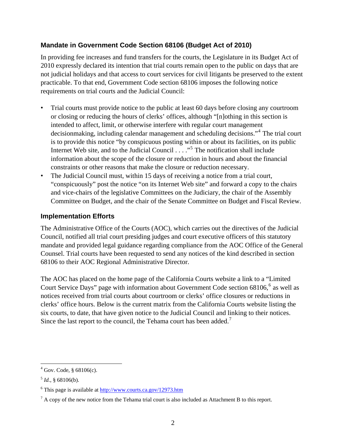#### **Mandate in Government Code Section 68106 (Budget Act of 2010)**

In providing fee increases and fund transfers for the courts, the Legislature in its Budget Act of 2010 expressly declared its intention that trial courts remain open to the public on days that are not judicial holidays and that access to court services for civil litigants be preserved to the extent practicable. To that end, Government Code section 68106 imposes the following notice requirements on trial courts and the Judicial Council:

- Trial courts must provide notice to the public at least 60 days before closing any courtroom or closing or reducing the hours of clerks' offices, although "[n]othing in this section is intended to affect, limit, or otherwise interfere with regular court management decisionmaking, including calendar management and scheduling decisions."<sup>4</sup> The trial court is to provide this notice "by conspicuous posting within or about its facilities, on its public Internet Web site, and to the Judicial Council . . . ."<sup>5</sup> The notification shall include information about the scope of the closure or reduction in hours and about the financial constraints or other reasons that make the closure or reduction necessary.
- The Judicial Council must, within 15 days of receiving a notice from a trial court, "conspicuously" post the notice "on its Internet Web site" and forward a copy to the chairs and vice-chairs of the legislative Committees on the Judiciary, the chair of the Assembly Committee on Budget, and the chair of the Senate Committee on Budget and Fiscal Review.

#### **Implementation Efforts**

The Administrative Office of the Courts (AOC), which carries out the directives of the Judicial Council, notified all trial court presiding judges and court executive officers of this statutory mandate and provided legal guidance regarding compliance from the AOC Office of the General Counsel. Trial courts have been requested to send any notices of the kind described in section 68106 to their AOC Regional Administrative Director.

The AOC has placed on the home page of the California Courts website a link to a "Limited Court Service Days" page with information about Government Code section  $68106$ ,  $68$  as well as notices received from trial courts about courtroom or clerks' office closures or reductions in clerks' office hours. Below is the current matrix from the California Courts website listing the six courts, to date, that have given notice to the Judicial Council and linking to their notices. Since the last report to the council, the Tehama court has been added.<sup>7</sup>

 $4 \text{ Gov. Code, } $68106(c).$ 

 $^{5}$ *Id.*, § 68106(b).

<sup>&</sup>lt;sup>6</sup> This page is available at http://www.courts.ca.gov/12973.htm

 $<sup>7</sup>$  A copy of the new notice from the Tehama trial court is also included as Attachment B to this report.</sup>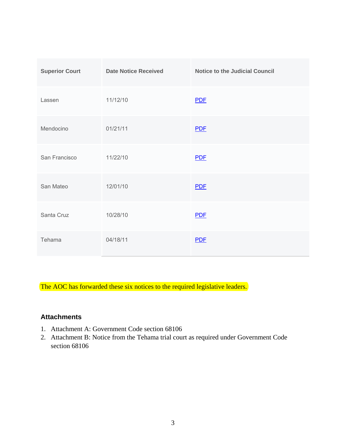| <b>Superior Court</b> | <b>Date Notice Received</b> | <b>Notice to the Judicial Council</b> |
|-----------------------|-----------------------------|---------------------------------------|
| Lassen                | 11/12/10                    | <b>PDF</b>                            |
| Mendocino             | 01/21/11                    | <b>PDF</b>                            |
| San Francisco         | 11/22/10                    | <b>PDF</b>                            |
| San Mateo             | 12/01/10                    | <b>PDF</b>                            |
| Santa Cruz            | 10/28/10                    | <b>PDF</b>                            |
| Tehama                | 04/18/11                    | <b>PDF</b>                            |

The AOC has forwarded these six notices to the required legislative leaders.

#### **Attachments**

- 1. Attachment A: Government Code section 68106
- 2. Attachment B: Notice from the Tehama trial court as required under Government Code section 68106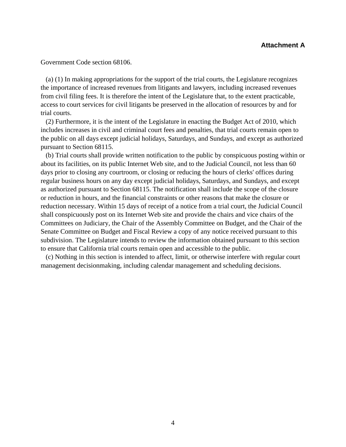Government Code section 68106.

 (a) (1) In making appropriations for the support of the trial courts, the Legislature recognizes the importance of increased revenues from litigants and lawyers, including increased revenues from civil filing fees. It is therefore the intent of the Legislature that, to the extent practicable, access to court services for civil litigants be preserved in the allocation of resources by and for trial courts.

 (2) Furthermore, it is the intent of the Legislature in enacting the Budget Act of 2010, which includes increases in civil and criminal court fees and penalties, that trial courts remain open to the public on all days except judicial holidays, Saturdays, and Sundays, and except as authorized pursuant to Section 68115.

 (b) Trial courts shall provide written notification to the public by conspicuous posting within or about its facilities, on its public Internet Web site, and to the Judicial Council, not less than 60 days prior to closing any courtroom, or closing or reducing the hours of clerks' offices during regular business hours on any day except judicial holidays, Saturdays, and Sundays, and except as authorized pursuant to Section 68115. The notification shall include the scope of the closure or reduction in hours, and the financial constraints or other reasons that make the closure or reduction necessary. Within 15 days of receipt of a notice from a trial court, the Judicial Council shall conspicuously post on its Internet Web site and provide the chairs and vice chairs of the Committees on Judiciary, the Chair of the Assembly Committee on Budget, and the Chair of the Senate Committee on Budget and Fiscal Review a copy of any notice received pursuant to this subdivision. The Legislature intends to review the information obtained pursuant to this section to ensure that California trial courts remain open and accessible to the public.

 (c) Nothing in this section is intended to affect, limit, or otherwise interfere with regular court management decisionmaking, including calendar management and scheduling decisions.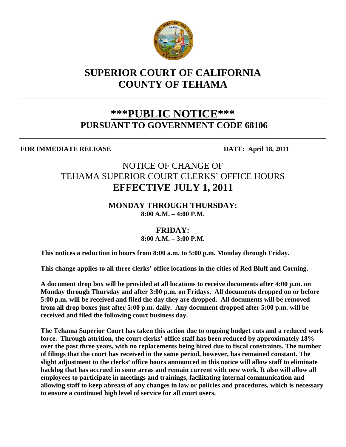

## **SUPERIOR COURT OF CALIFORNIA COUNTY OF TEHAMA**

## **\*\*\*PUBLIC NOTICE\*\*\* PURSUANT TO GOVERNMENT CODE 68106**

**FOR IMMEDIATE RELEASE DATE: April 18, 2011** 

### NOTICE OF CHANGE OF TEHAMA SUPERIOR COURT CLERKS' OFFICE HOURS **EFFECTIVE JULY 1, 2011**

#### **MONDAY THROUGH THURSDAY: 8:00 A.M. – 4:00 P.M.**

**FRIDAY:** 

**8:00 A.M. – 3:00 P.M.** 

**This notices a reduction in hours from 8:00 a.m. to 5:00 p.m. Monday through Friday.** 

**This change applies to all three clerks' office locations in the cities of Red Bluff and Corning.** 

 **A document drop box will be provided at all locations to receive documents after 4:00 p.m. on Monday through Thursday and after 3:00 p.m. on Fridays. All documents dropped on or before 5:00 p.m. will be received and filed the day they are dropped. All documents will be removed from all drop boxes just after 5:00 p.m. daily. Any document dropped after 5:00 p.m. will be received and filed the following court business day.** 

 **The Tehama Superior Court has taken this action due to ongoing budget cuts and a reduced work force. Through attrition, the court clerks' office staff has been reduced by approximately 18% over the past three years, with no replacements being hired due to fiscal constraints. The number of filings that the court has received in the same period, however, has remained constant. The slight adjustment to the clerks' office hours announced in this notice will allow staff to eliminate backlog that has accrued in some areas and remain current with new work. It also will allow all employees to participate in meetings and trainings, facilitating internal communication and allowing staff to keep abreast of any changes in law or policies and procedures, which is necessary to ensure a continued high level of service for all court users.**